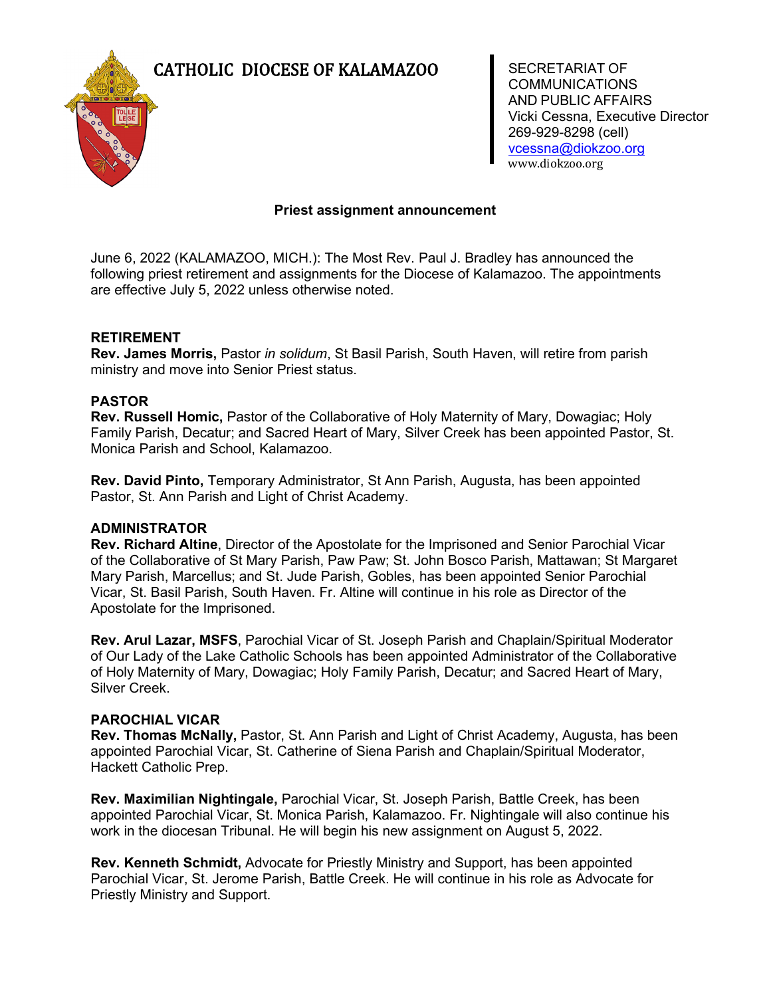# CATHOLIC DIOCESE OF KALAMAZOO SECRETARIAT OF



**COMMUNICATIONS** AND PUBLIC AFFAIRS Vicki Cessna, Executive Director 269-929-8298 (cell) [vcessna@diokzoo.org](mailto:vcessna@diokzoo.org) www.diokzoo.org

# **Priest assignment announcement**

June 6, 2022 (KALAMAZOO, MICH.): The Most Rev. Paul J. Bradley has announced the following priest retirement and assignments for the Diocese of Kalamazoo. The appointments are effective July 5, 2022 unless otherwise noted.

# **RETIREMENT**

**Rev. James Morris,** Pastor *in solidum*, St Basil Parish, South Haven, will retire from parish ministry and move into Senior Priest status.

### **PASTOR**

**Rev. Russell Homic,** Pastor of the Collaborative of Holy Maternity of Mary, Dowagiac; Holy Family Parish, Decatur; and Sacred Heart of Mary, Silver Creek has been appointed Pastor, St. Monica Parish and School, Kalamazoo.

**Rev. David Pinto,** Temporary Administrator, St Ann Parish, Augusta, has been appointed Pastor, St. Ann Parish and Light of Christ Academy.

### **ADMINISTRATOR**

**Rev. Richard Altine**, Director of the Apostolate for the Imprisoned and Senior Parochial Vicar of the Collaborative of St Mary Parish, Paw Paw; St. John Bosco Parish, Mattawan; St Margaret Mary Parish, Marcellus; and St. Jude Parish, Gobles, has been appointed Senior Parochial Vicar, St. Basil Parish, South Haven. Fr. Altine will continue in his role as Director of the Apostolate for the Imprisoned.

**Rev. Arul Lazar, MSFS**, Parochial Vicar of St. Joseph Parish and Chaplain/Spiritual Moderator of Our Lady of the Lake Catholic Schools has been appointed Administrator of the Collaborative of Holy Maternity of Mary, Dowagiac; Holy Family Parish, Decatur; and Sacred Heart of Mary, Silver Creek.

### **PAROCHIAL VICAR**

**Rev. Thomas McNally,** Pastor, St. Ann Parish and Light of Christ Academy, Augusta, has been appointed Parochial Vicar, St. Catherine of Siena Parish and Chaplain/Spiritual Moderator, Hackett Catholic Prep.

**Rev. Maximilian Nightingale,** Parochial Vicar, St. Joseph Parish, Battle Creek, has been appointed Parochial Vicar, St. Monica Parish, Kalamazoo. Fr. Nightingale will also continue his work in the diocesan Tribunal. He will begin his new assignment on August 5, 2022.

**Rev. Kenneth Schmidt,** Advocate for Priestly Ministry and Support, has been appointed Parochial Vicar, St. Jerome Parish, Battle Creek. He will continue in his role as Advocate for Priestly Ministry and Support.